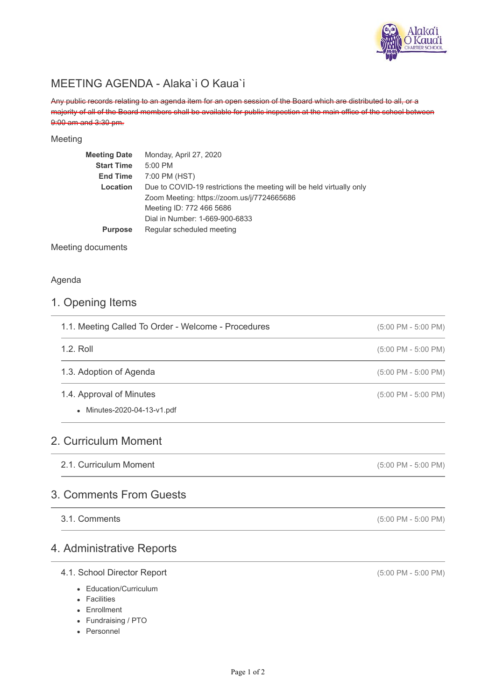

# MEETING AGENDA - Alaka`i O Kaua`i

Any public records relating to an agenda item for an open session of the Board which are distributed to all, or a majority of all of the Board members shall be available for public inspection at the main office of the school between 9:00 am and 3:30 pm.

#### Meeting

| <b>Meeting Date</b> | Monday, April 27, 2020                                               |
|---------------------|----------------------------------------------------------------------|
| <b>Start Time</b>   | 5:00 PM                                                              |
| <b>End Time</b>     | 7:00 PM (HST)                                                        |
| Location            | Due to COVID-19 restrictions the meeting will be held virtually only |
|                     | Zoom Meeting: https://zoom.us/j/7724665686                           |
|                     | Meeting ID: 772 466 5686                                             |
|                     | Dial in Number: 1-669-900-6833                                       |
| <b>Purpose</b>      | Regular scheduled meeting                                            |
|                     |                                                                      |

Meeting documents

### Agenda

## 1. Opening Items

| $(5:00 \text{ PM} - 5:00 \text{ PM})$ |
|---------------------------------------|
| $(5:00 \text{ PM} - 5:00 \text{ PM})$ |
| $(5:00 \text{ PM} - 5:00 \text{ PM})$ |
|                                       |
| $(5:00 \text{ PM} - 5:00 \text{ PM})$ |
|                                       |
|                                       |

## 4. Administrative Reports

## 4.1. School Director Report

- Education/Curriculum
- Facilities

3.1. Comments

- Enrollment
- Fundraising / PTO
- Personnel

(5:00 PM - 5:00 PM)

(5:00 PM - 5:00 PM)